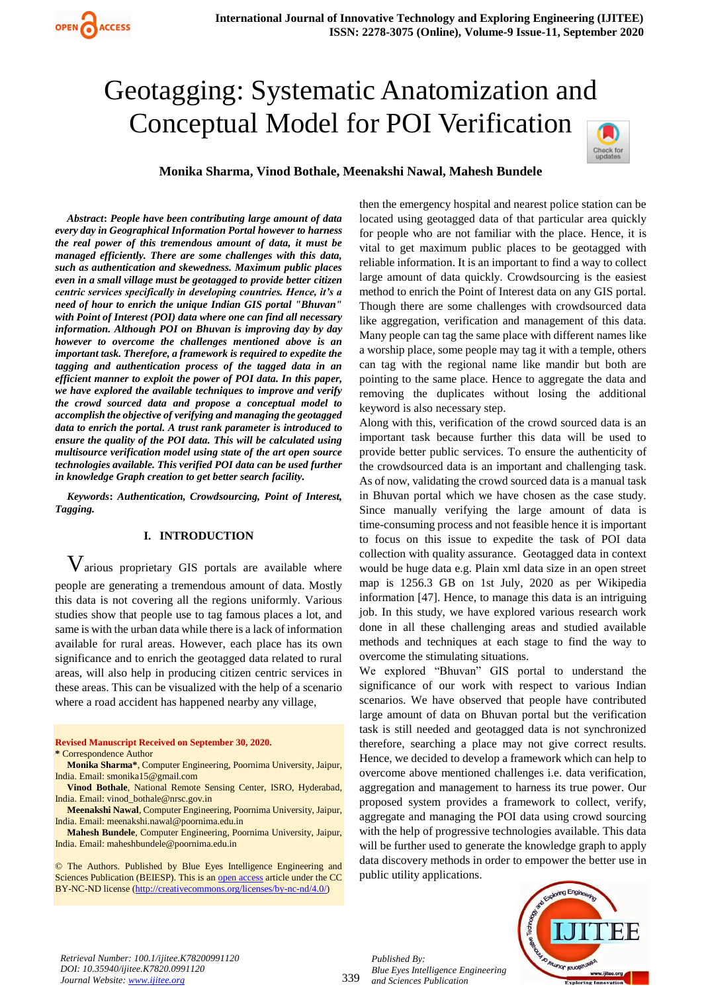

#### **Monika Sharma, Vinod Bothale, Meenakshi Nawal, Mahesh Bundele**

*Abstract***:** *People have been contributing large amount of data every day in Geographical Information Portal however to harness the real power of this tremendous amount of data, it must be managed efficiently. There are some challenges with this data, such as authentication and skewedness. Maximum public places even in a small village must be geotagged to provide better citizen centric services specifically in developing countries. Hence, it's a need of hour to enrich the unique Indian GIS portal "Bhuvan" with Point of Interest (POI) data where one can find all necessary information. Although POI on Bhuvan is improving day by day however to overcome the challenges mentioned above is an important task. Therefore, a framework is required to expedite the tagging and authentication process of the tagged data in an efficient manner to exploit the power of POI data. In this paper, we have explored the available techniques to improve and verify the crowd sourced data and propose a conceptual model to accomplish the objective of verifying and managing the geotagged data to enrich the portal. A trust rank parameter is introduced to ensure the quality of the POI data. This will be calculated using multisource verification model using state of the art open source technologies available. This verified POI data can be used further in knowledge Graph creation to get better search facility.*

*Keywords***:** *Authentication, Crowdsourcing, Point of Interest, Tagging.*

#### **I. INTRODUCTION**

 $V_{\text{arious proprietary GIS portals are available where}}$ people are generating a tremendous amount of data. Mostly this data is not covering all the regions uniformly. Various studies show that people use to tag famous places a lot, and same is with the urban data while there is a lack of information available for rural areas. However, each place has its own significance and to enrich the geotagged data related to rural areas, will also help in producing citizen centric services in these areas. This can be visualized with the help of a scenario where a road accident has happened nearby any village,

#### **Revised Manuscript Received on September 30, 2020. \*** Correspondence Author

**Monika Sharma\***, Computer Engineering, Poornima University, Jaipur, India. Email: smonika15@gmail.com

**Vinod Bothale**, National Remote Sensing Center, ISRO, Hyderabad, India. Email[: vinod\\_bothale@nrsc.gov.in](mailto:vinod_bothale@nrsc.gov.in)

**Meenakshi Nawal**, Computer Engineering, Poornima University, Jaipur, India. Email[: meenakshi.nawal@poornima.edu.in](mailto:meenakshi.nawal@poornima.edu.in)

**Mahesh Bundele**, Computer Engineering, Poornima University, Jaipur, India. Email: maheshbundele@poornima.edu.in

© The Authors. Published by Blue Eyes Intelligence Engineering and Sciences Publication (BEIESP). This is an [open access](https://www.openaccess.nl/en/open-publications) article under the CC BY-NC-ND license [\(http://creativecommons.org/licenses/by-nc-nd/4.0/\)](http://creativecommons.org/licenses/by-nc-nd/4.0/)

then the emergency hospital and nearest police station can be located using geotagged data of that particular area quickly for people who are not familiar with the place. Hence, it is vital to get maximum public places to be geotagged with reliable information. It is an important to find a way to collect large amount of data quickly. Crowdsourcing is the easiest method to enrich the Point of Interest data on any GIS portal. Though there are some challenges with crowdsourced data like aggregation, verification and management of this data. Many people can tag the same place with different names like a worship place, some people may tag it with a temple, others can tag with the regional name like mandir but both are pointing to the same place. Hence to aggregate the data and removing the duplicates without losing the additional keyword is also necessary step.

Along with this, verification of the crowd sourced data is an important task because further this data will be used to provide better public services. To ensure the authenticity of the crowdsourced data is an important and challenging task. As of now, validating the crowd sourced data is a manual task in Bhuvan portal which we have chosen as the case study. Since manually verifying the large amount of data is time-consuming process and not feasible hence it is important to focus on this issue to expedite the task of POI data collection with quality assurance. Geotagged data in context would be huge data e.g. Plain xml data size in an open street map is 1256.3 GB on 1st July, 2020 as per Wikipedia information [47]. Hence, to manage this data is an intriguing job. In this study, we have explored various research work done in all these challenging areas and studied available methods and techniques at each stage to find the way to overcome the stimulating situations.

We explored "Bhuvan" GIS portal to understand the significance of our work with respect to various Indian scenarios. We have observed that people have contributed large amount of data on Bhuvan portal but the verification task is still needed and geotagged data is not synchronized therefore, searching a place may not give correct results. Hence, we decided to develop a framework which can help to overcome above mentioned challenges i.e. data verification, aggregation and management to harness its true power. Our proposed system provides a framework to collect, verify, aggregate and managing the POI data using crowd sourcing with the help of progressive technologies available. This data will be further used to generate the knowledge graph to apply data discovery methods in order to empower the better use in public utility applications.

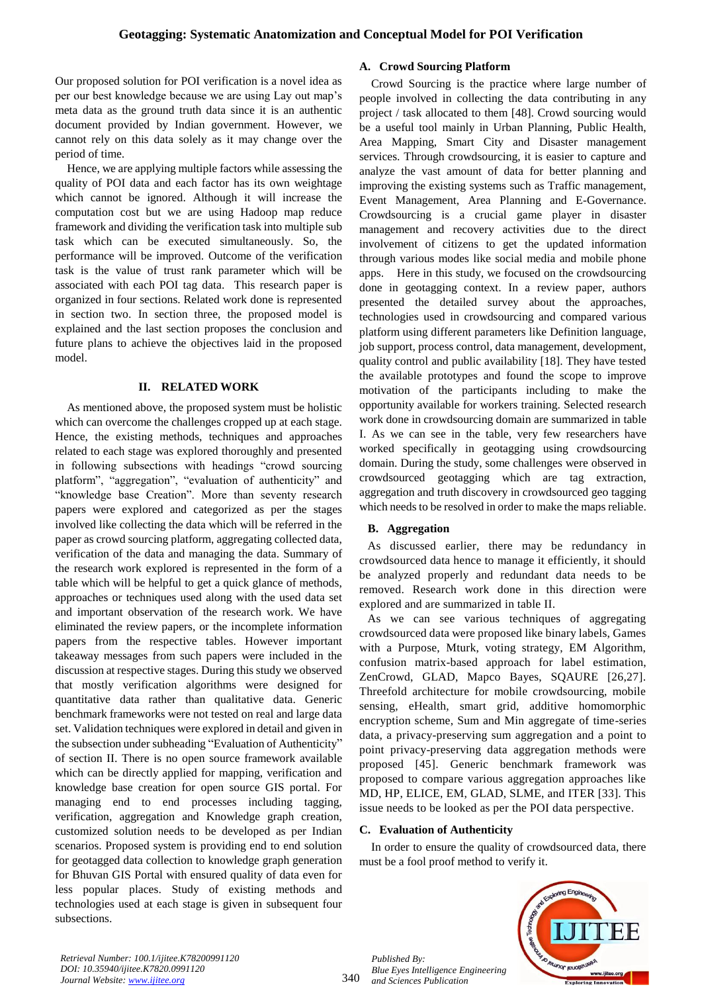Our proposed solution for POI verification is a novel idea as per our best knowledge because we are using Lay out map's meta data as the ground truth data since it is an authentic document provided by Indian government. However, we cannot rely on this data solely as it may change over the period of time.

Hence, we are applying multiple factors while assessing the quality of POI data and each factor has its own weightage which cannot be ignored. Although it will increase the computation cost but we are using Hadoop map reduce framework and dividing the verification task into multiple sub task which can be executed simultaneously. So, the performance will be improved. Outcome of the verification task is the value of trust rank parameter which will be associated with each POI tag data. This research paper is organized in four sections. Related work done is represented in section two. In section three, the proposed model is explained and the last section proposes the conclusion and future plans to achieve the objectives laid in the proposed model.

#### **II. RELATED WORK**

As mentioned above, the proposed system must be holistic which can overcome the challenges cropped up at each stage. Hence, the existing methods, techniques and approaches related to each stage was explored thoroughly and presented in following subsections with headings "crowd sourcing platform", "aggregation", "evaluation of authenticity" and "knowledge base Creation". More than seventy research papers were explored and categorized as per the stages involved like collecting the data which will be referred in the paper as crowd sourcing platform, aggregating collected data, verification of the data and managing the data. Summary of the research work explored is represented in the form of a table which will be helpful to get a quick glance of methods, approaches or techniques used along with the used data set and important observation of the research work. We have eliminated the review papers, or the incomplete information papers from the respective tables. However important takeaway messages from such papers were included in the discussion at respective stages. During this study we observed that mostly verification algorithms were designed for quantitative data rather than qualitative data. Generic benchmark frameworks were not tested on real and large data set. Validation techniques were explored in detail and given in the subsection under subheading "Evaluation of Authenticity" of section II. There is no open source framework available which can be directly applied for mapping, verification and knowledge base creation for open source GIS portal. For managing end to end processes including tagging, verification, aggregation and Knowledge graph creation, customized solution needs to be developed as per Indian scenarios. Proposed system is providing end to end solution for geotagged data collection to knowledge graph generation for Bhuvan GIS Portal with ensured quality of data even for less popular places. Study of existing methods and technologies used at each stage is given in subsequent four subsections.

#### **A. Crowd Sourcing Platform**

Crowd Sourcing is the practice where large number of people involved in collecting the data contributing in any project / task allocated to them [48]. Crowd sourcing would be a useful tool mainly in Urban Planning, Public Health, Area Mapping, Smart City and Disaster management services. Through crowdsourcing, it is easier to capture and analyze the vast amount of data for better planning and improving the existing systems such as Traffic management, Event Management, Area Planning and E-Governance. Crowdsourcing is a crucial game player in disaster management and recovery activities due to the direct involvement of citizens to get the updated information through various modes like social media and mobile phone apps. Here in this study, we focused on the crowdsourcing done in geotagging context. In a review paper, authors presented the detailed survey about the approaches, technologies used in crowdsourcing and compared various platform using different parameters like Definition language, job support, process control, data management, development, quality control and public availability [18]. They have tested the available prototypes and found the scope to improve motivation of the participants including to make the opportunity available for workers training. Selected research work done in crowdsourcing domain are summarized in table I. As we can see in the table, very few researchers have worked specifically in geotagging using crowdsourcing domain. During the study, some challenges were observed in crowdsourced geotagging which are tag extraction, aggregation and truth discovery in crowdsourced geo tagging which needs to be resolved in order to make the maps reliable.

## **B. Aggregation**

As discussed earlier, there may be redundancy in crowdsourced data hence to manage it efficiently, it should be analyzed properly and redundant data needs to be removed. Research work done in this direction were explored and are summarized in table II.

As we can see various techniques of aggregating crowdsourced data were proposed like binary labels, Games with a Purpose, Mturk, voting strategy, EM Algorithm, confusion matrix-based approach for label estimation, ZenCrowd, GLAD, Mapco Bayes, SQAURE [26,27]. Threefold architecture for mobile crowdsourcing, mobile sensing, eHealth, smart grid, additive homomorphic encryption scheme, Sum and Min aggregate of time-series data, a privacy-preserving sum aggregation and a point to point privacy-preserving data aggregation methods were proposed [45]. Generic benchmark framework was proposed to compare various aggregation approaches like MD, HP, ELICE, EM, GLAD, SLME, and ITER [33]. This issue needs to be looked as per the POI data perspective.

#### **C. Evaluation of Authenticity**

In order to ensure the quality of crowdsourced data, there must be a fool proof method to verify it.



*Retrieval Number: 100.1/ijitee.K78200991120 DOI: 10.35940/ijitee.K7820.0991120 Journal Website: www.ijitee.org*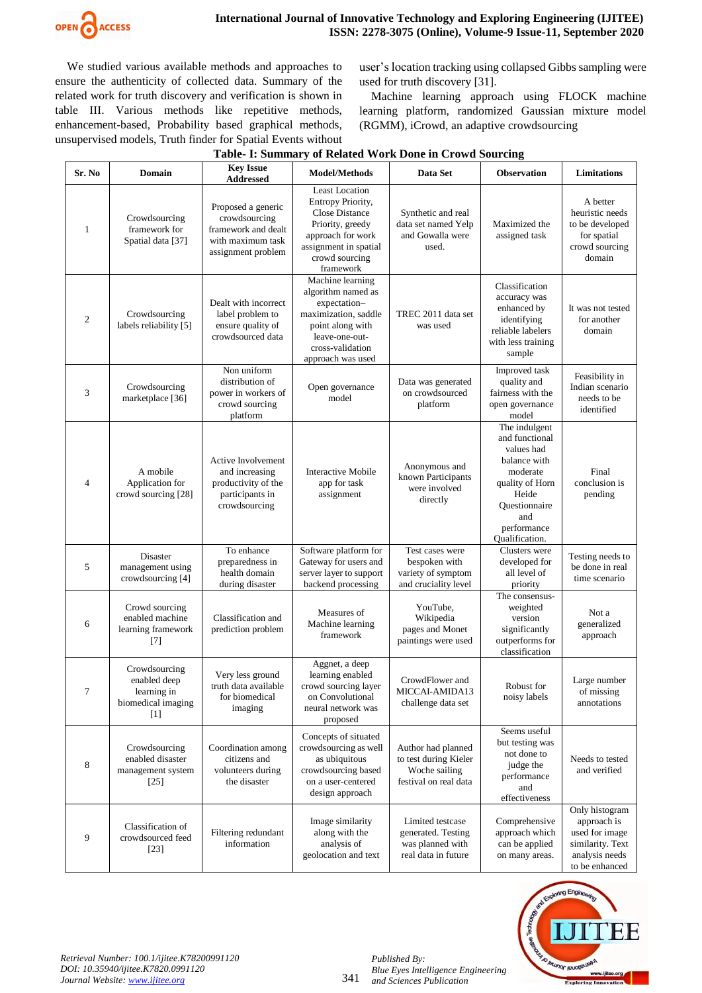

We studied various available methods and approaches to ensure the authenticity of collected data. Summary of the related work for truth discovery and verification is shown in table III. Various methods like repetitive methods, enhancement-based, Probability based graphical methods, unsupervised models, Truth finder for Spatial Events without user's location tracking using collapsed Gibbs sampling were used for truth discovery [31].

Machine learning approach using FLOCK machine learning platform, randomized Gaussian mixture model (RGMM), iCrowd, an adaptive crowdsourcing

| Sr. No         | <b>Domain</b>                                                               | <b>Key Issue</b><br><b>Addressed</b>                                                                  | <b>Model/Methods</b>                                                                                                                                                 | Data Set                                                                              | <b>Observation</b>                                                                                                                                                    | Limitations                                                                                             |
|----------------|-----------------------------------------------------------------------------|-------------------------------------------------------------------------------------------------------|----------------------------------------------------------------------------------------------------------------------------------------------------------------------|---------------------------------------------------------------------------------------|-----------------------------------------------------------------------------------------------------------------------------------------------------------------------|---------------------------------------------------------------------------------------------------------|
| $\mathbf{1}$   | Crowdsourcing<br>framework for<br>Spatial data [37]                         | Proposed a generic<br>crowdsourcing<br>framework and dealt<br>with maximum task<br>assignment problem | <b>Least Location</b><br>Entropy Priority,<br><b>Close Distance</b><br>Priority, greedy<br>approach for work<br>assignment in spatial<br>crowd sourcing<br>framework | Synthetic and real<br>data set named Yelp<br>and Gowalla were<br>used.                | Maximized the<br>assigned task                                                                                                                                        | A better<br>heuristic needs<br>to be developed<br>for spatial<br>crowd sourcing<br>domain               |
| $\mathfrak{2}$ | Crowdsourcing<br>labels reliability [5]                                     | Dealt with incorrect<br>label problem to<br>ensure quality of<br>crowdsourced data                    | Machine learning<br>algorithm named as<br>expectation-<br>maximization, saddle<br>point along with<br>leave-one-out-<br>cross-validation<br>approach was used        | TREC 2011 data set<br>was used                                                        | Classification<br>accuracy was<br>enhanced by<br>identifying<br>reliable labelers<br>with less training<br>sample                                                     | It was not tested<br>for another<br>domain                                                              |
| 3              | Crowdsourcing<br>marketplace [36]                                           | Non uniform<br>distribution of<br>power in workers of<br>crowd sourcing<br>platform                   | Open governance<br>model                                                                                                                                             | Data was generated<br>on crowdsourced<br>platform                                     | Improved task<br>quality and<br>fairness with the<br>open governance<br>model                                                                                         | Feasibility in<br>Indian scenario<br>needs to be<br>identified                                          |
| $\overline{4}$ | A mobile<br>Application for<br>crowd sourcing [28]                          | Active Involvement<br>and increasing<br>productivity of the<br>participants in<br>crowdsourcing       | Interactive Mobile<br>app for task<br>assignment                                                                                                                     | Anonymous and<br>known Participants<br>were involved<br>directly                      | The indulgent<br>and functional<br>values had<br>balance with<br>moderate<br>quality of Horn<br>Heide<br>Ouestionnaire<br>and<br>performance<br><b>Oualification.</b> | Final<br>conclusion is<br>pending                                                                       |
| 5              | Disaster<br>management using<br>crowdsourcing [4]                           | To enhance<br>preparedness in<br>health domain<br>during disaster                                     | Software platform for<br>Gateway for users and<br>server layer to support<br>backend processing                                                                      | Test cases were<br>bespoken with<br>variety of symptom<br>and cruciality level        | Clusters were<br>developed for<br>all level of<br>priority                                                                                                            | Testing needs to<br>be done in real<br>time scenario                                                    |
| 6              | Crowd sourcing<br>enabled machine<br>learning framework<br>[7]              | Classification and<br>prediction problem                                                              | Measures of<br>Machine learning<br>framework                                                                                                                         | YouTube,<br>Wikipedia<br>pages and Monet<br>paintings were used                       | The consensus-<br>weighted<br>version<br>significantly<br>outperforms for<br>classification                                                                           | Not a<br>generalized<br>approach                                                                        |
| 7              | Crowdsourcing<br>enabled deep<br>learning in<br>biomedical imaging<br>$[1]$ | Very less ground<br>truth data available<br>for biomedical<br>imaging                                 | Aggnet, a deep<br>learning enabled<br>crowd sourcing layer<br>on Convolutional<br>neural network was<br>proposed                                                     | CrowdFlower and<br>MICCAI-AMIDA13<br>challenge data set                               | Robust for<br>noisy labels                                                                                                                                            | Large number<br>of missing<br>annotations                                                               |
| 8              | Crowdsourcing<br>enabled disaster<br>management system<br>$[25]$            | Coordination among<br>citizens and<br>volunteers during<br>the disaster                               | Concepts of situated<br>crowdsourcing as well<br>as ubiquitous<br>crowdsourcing based<br>on a user-centered<br>design approach                                       | Author had planned<br>to test during Kieler<br>Woche sailing<br>festival on real data | Seems useful<br>but testing was<br>not done to<br>judge the<br>performance<br>and<br>effectiveness                                                                    | Needs to tested<br>and verified                                                                         |
| 9              | Classification of<br>crowdsourced feed<br>$[23]$                            | Filtering redundant<br>information                                                                    | Image similarity<br>along with the<br>analysis of<br>geolocation and text                                                                                            | Limited testcase<br>generated. Testing<br>was planned with<br>real data in future     | Comprehensive<br>approach which<br>can be applied<br>on many areas.                                                                                                   | Only histogram<br>approach is<br>used for image<br>similarity. Text<br>analysis needs<br>to be enhanced |

|  | Table- I: Summary of Related Work Done in Crowd Sourcing |  |  |  |
|--|----------------------------------------------------------|--|--|--|
|  |                                                          |  |  |  |

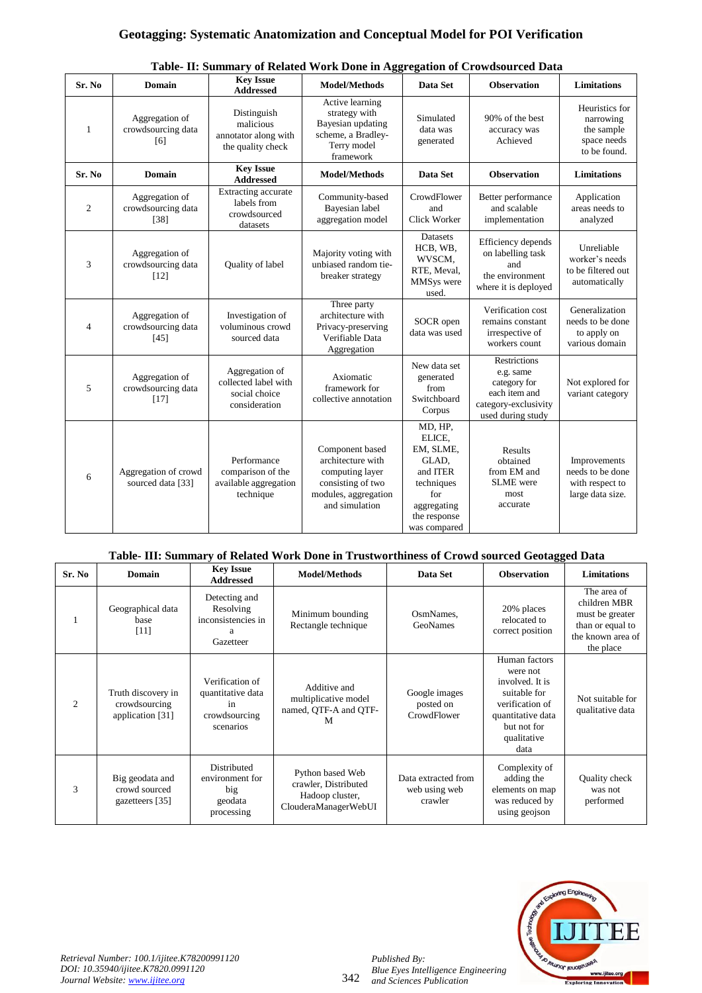| Table- II: Summary of Related Work Done in Aggregation of Crowdsourced Data |                                                |                                                                          |                                                                                                                        |                                                                                                                         |                                                                                                                |                                                                          |
|-----------------------------------------------------------------------------|------------------------------------------------|--------------------------------------------------------------------------|------------------------------------------------------------------------------------------------------------------------|-------------------------------------------------------------------------------------------------------------------------|----------------------------------------------------------------------------------------------------------------|--------------------------------------------------------------------------|
| Sr. No                                                                      | <b>Domain</b>                                  | <b>Kev Issue</b><br><b>Addressed</b>                                     | <b>Model/Methods</b>                                                                                                   | Data Set                                                                                                                | <b>Observation</b>                                                                                             | <b>Limitations</b>                                                       |
| $\mathbf{1}$                                                                | Aggregation of<br>crowdsourcing data<br>[6]    | Distinguish<br>malicious<br>annotator along with<br>the quality check    | Active learning<br>strategy with<br>Bayesian updating<br>scheme, a Bradley-<br>Terry model<br>framework                | Simulated<br>data was<br>generated                                                                                      | 90% of the best<br>accuracy was<br>Achieved                                                                    | Heuristics for<br>narrowing<br>the sample<br>space needs<br>to be found. |
| Sr. No                                                                      | <b>Domain</b>                                  | <b>Key Issue</b><br><b>Addressed</b>                                     | <b>Model/Methods</b>                                                                                                   | Data Set                                                                                                                | <b>Observation</b>                                                                                             | <b>Limitations</b>                                                       |
| $\overline{c}$                                                              | Aggregation of<br>crowdsourcing data<br>$[38]$ | Extracting accurate<br>labels from<br>crowdsourced<br>datasets           | Community-based<br>Bayesian label<br>aggregation model                                                                 | CrowdFlower<br>and<br>Click Worker                                                                                      | Better performance<br>and scalable<br>implementation                                                           | Application<br>areas needs to<br>analyzed                                |
| 3                                                                           | Aggregation of<br>crowdsourcing data<br>$[12]$ | Quality of label                                                         | Majority voting with<br>unbiased random tie-<br>breaker strategy                                                       | Datasets<br>HCB, WB,<br>WVSCM,<br>RTE, Meval,<br>MMSys were<br>used.                                                    | Efficiency depends<br>on labelling task<br>and<br>the environment<br>where it is deployed                      | Unreliable<br>worker's needs<br>to be filtered out<br>automatically      |
| $\overline{4}$                                                              | Aggregation of<br>crowdsourcing data<br>$[45]$ | Investigation of<br>voluminous crowd<br>sourced data                     | Three party<br>architecture with<br>Privacy-preserving<br>Verifiable Data<br>Aggregation                               | SOCR open<br>data was used                                                                                              | Verification cost<br>remains constant<br>irrespective of<br>workers count                                      | Generalization<br>needs to be done<br>to apply on<br>various domain      |
| 5                                                                           | Aggregation of<br>crowdsourcing data<br>$[17]$ | Aggregation of<br>collected label with<br>social choice<br>consideration | Axiomatic<br>framework for<br>collective annotation                                                                    | New data set<br>generated<br>from<br>Switchboard<br>Corpus                                                              | <b>Restrictions</b><br>e.g. same<br>category for<br>each item and<br>category-exclusivity<br>used during study | Not explored for<br>variant category                                     |
| 6                                                                           | Aggregation of crowd<br>sourced data [33]      | Performance<br>comparison of the<br>available aggregation<br>technique   | Component based<br>architecture with<br>computing layer<br>consisting of two<br>modules, aggregation<br>and simulation | MD, HP,<br>ELICE,<br>EM, SLME,<br>GLAD,<br>and ITER<br>techniques<br>for<br>aggregating<br>the response<br>was compared | Results<br>obtained<br>from EM and<br><b>SLME</b> were<br>most<br>accurate                                     | Improvements<br>needs to be done<br>with respect to<br>large data size.  |

# **Table- II: Summary of Related Work Done in Aggregation of Crowdsourced Data**

## **Table- III: Summary of Related Work Done in Trustworthiness of Crowd sourced Geotagged Data**

| Sr. No | Domain                                                  | <b>Key Issue</b><br><b>Addressed</b>                                     | <b>Model/Methods</b>                                                                | Data Set                                        | <b>Observation</b>                                                                                                                         | <b>Limitations</b>                                                                                   |
|--------|---------------------------------------------------------|--------------------------------------------------------------------------|-------------------------------------------------------------------------------------|-------------------------------------------------|--------------------------------------------------------------------------------------------------------------------------------------------|------------------------------------------------------------------------------------------------------|
| 1      | Geographical data<br>hase<br>[11]                       | Detecting and<br>Resolving<br>inconsistencies in<br>a<br>Gazetteer       | Minimum bounding<br>Rectangle technique                                             | OsmNames.<br>GeoNames                           | 20% places<br>relocated to<br>correct position                                                                                             | The area of<br>children MBR<br>must be greater<br>than or equal to<br>the known area of<br>the place |
| 2      | Truth discovery in<br>crowdsourcing<br>application [31] | Verification of<br>quantitative data<br>in<br>crowdsourcing<br>scenarios | Additive and<br>multiplicative model<br>named, QTF-A and QTF-<br>M                  | Google images<br>posted on<br>CrowdFlower       | Human factors<br>were not<br>involved. It is<br>suitable for<br>verification of<br>quantitative data<br>but not for<br>qualitative<br>data | Not suitable for<br>qualitative data                                                                 |
| 3      | Big geodata and<br>crowd sourced<br>gazetteers [35]     | Distributed<br>environment for<br>big<br>geodata<br>processing           | Python based Web<br>crawler, Distributed<br>Hadoop cluster,<br>ClouderaManagerWebUI | Data extracted from<br>web using web<br>crawler | Complexity of<br>adding the<br>elements on map<br>was reduced by<br>using geojson                                                          | <b>Ouality</b> check<br>was not<br>performed                                                         |



*Retrieval Number: 100.1/ijitee.K78200991120 DOI: 10.35940/ijitee.K7820.0991120 Journal Website: www.ijitee.org*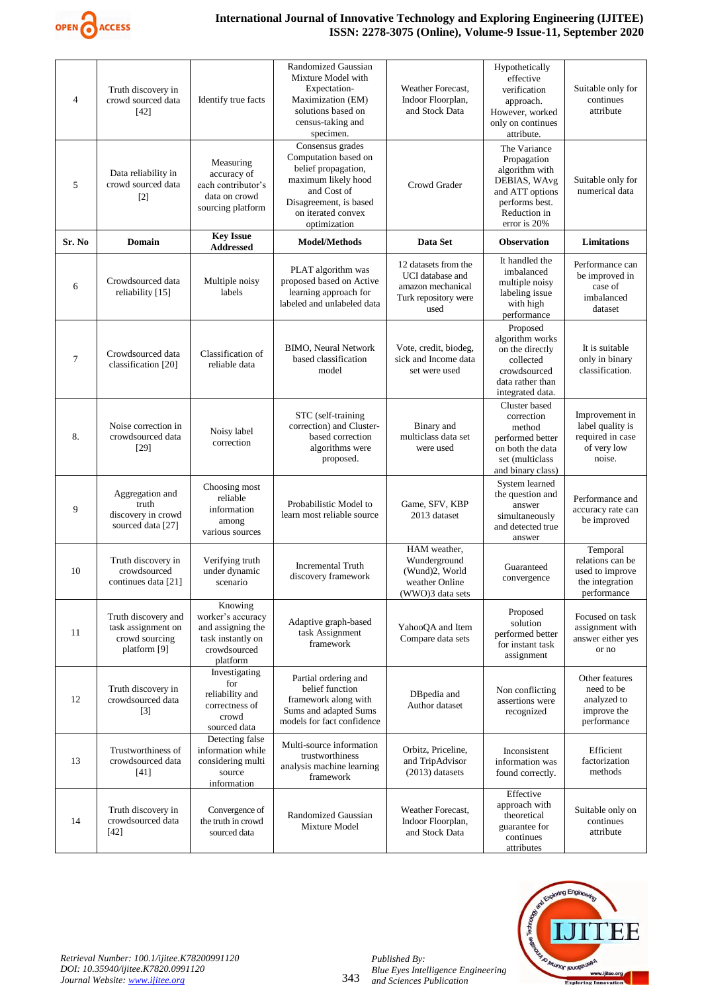

#### **International Journal of Innovative Technology and Exploring Engineering (IJITEE) ISSN: 2278-3075 (Online), Volume-9 Issue-11, September 2020**

| $\overline{4}$ | Truth discovery in<br>crowd sourced data<br>[42]                            | Identify true facts                                                                                | Randomized Gaussian<br>Mixture Model with<br>Expectation-<br>Maximization (EM)<br>solutions based on                                                                                                    | Weather Forecast.<br>Indoor Floorplan,<br>and Stock Data                                      | Hypothetically<br>effective<br>verification<br>approach.<br>However, worked                                                                                           | Suitable only for<br>continues<br>attribute                                       |
|----------------|-----------------------------------------------------------------------------|----------------------------------------------------------------------------------------------------|---------------------------------------------------------------------------------------------------------------------------------------------------------------------------------------------------------|-----------------------------------------------------------------------------------------------|-----------------------------------------------------------------------------------------------------------------------------------------------------------------------|-----------------------------------------------------------------------------------|
| 5              | Data reliability in<br>crowd sourced data<br>$[2]$                          | Measuring<br>accuracy of<br>each contributor's<br>data on crowd<br>sourcing platform               | census-taking and<br>specimen.<br>Consensus grades<br>Computation based on<br>belief propagation,<br>maximum likely hood<br>and Cost of<br>Disagreement, is based<br>on iterated convex<br>optimization | Crowd Grader                                                                                  | only on continues<br>attribute.<br>The Variance<br>Propagation<br>algorithm with<br>DEBIAS, WAvg<br>and ATT options<br>performs best.<br>Reduction in<br>error is 20% | Suitable only for<br>numerical data                                               |
| Sr. No         | <b>Domain</b>                                                               | <b>Key Issue</b><br><b>Addressed</b>                                                               | <b>Model/Methods</b>                                                                                                                                                                                    | Data Set                                                                                      | <b>Observation</b>                                                                                                                                                    | <b>Limitations</b>                                                                |
| 6              | Crowdsourced data<br>reliability [15]                                       | Multiple noisy<br>labels                                                                           | PLAT algorithm was<br>proposed based on Active<br>learning approach for<br>labeled and unlabeled data                                                                                                   | 12 datasets from the<br>UCI database and<br>amazon mechanical<br>Turk repository were<br>used | It handled the<br>imbalanced<br>multiple noisy<br>labeling issue<br>with high<br>performance                                                                          | Performance can<br>be improved in<br>case of<br>imbalanced<br>dataset             |
| 7              | Crowdsourced data<br>classification [20]                                    | Classification of<br>reliable data                                                                 | <b>BIMO.</b> Neural Network<br>based classification<br>model                                                                                                                                            | Vote, credit, biodeg,<br>sick and Income data<br>set were used                                | Proposed<br>algorithm works<br>on the directly<br>collected<br>crowdsourced<br>data rather than<br>integrated data.                                                   | It is suitable<br>only in binary<br>classification.                               |
| 8.             | Noise correction in<br>crowdsourced data<br>$[29]$                          | Noisy label<br>correction                                                                          | STC (self-training<br>correction) and Cluster-<br>based correction<br>algorithms were<br>proposed.                                                                                                      | Binary and<br>multiclass data set<br>were used                                                | Cluster based<br>correction<br>method<br>performed better<br>on both the data<br>set (multiclass<br>and binary class)                                                 | Improvement in<br>label quality is<br>required in case<br>of very low<br>noise.   |
| 9              | Aggregation and<br>truth<br>discovery in crowd<br>sourced data [27]         | Choosing most<br>reliable<br>information<br>among<br>various sources                               | Probabilistic Model to<br>learn most reliable source                                                                                                                                                    | Game, SFV, KBP<br>2013 dataset                                                                | System learned<br>the question and<br>answer<br>simultaneously<br>and detected true<br>answer                                                                         | Performance and<br>accuracy rate can<br>be improved                               |
| 10             | Truth discovery in<br>crowdsourced<br>continues data [21]                   | Verifying truth<br>under dynamic<br>scenario                                                       | <b>Incremental Truth</b><br>discovery framework                                                                                                                                                         | HAM weather,<br>Wunderground<br>(Wund)2, World<br>weather Online<br>(WWO)3 data sets          | Guaranteed<br>convergence                                                                                                                                             | Temporal<br>relations can be<br>used to improve<br>the integration<br>performance |
| 11             | Truth discovery and<br>task assignment on<br>crowd sourcing<br>platform [9] | Knowing<br>worker's accuracy<br>and assigning the<br>task instantly on<br>crowdsourced<br>platform | Adaptive graph-based<br>task Assignment<br>framework                                                                                                                                                    | YahooQA and Item<br>Compare data sets                                                         | Proposed<br>solution<br>performed better<br>for instant task<br>assignment                                                                                            | Focused on task<br>assignment with<br>answer either yes<br>or no                  |
| 12             | Truth discovery in<br>crowdsourced data<br>$[3]$                            | Investigating<br>for<br>reliability and<br>correctness of<br>crowd<br>sourced data                 | Partial ordering and<br>belief function<br>framework along with<br>Sums and adapted Sums<br>models for fact confidence                                                                                  | DBpedia and<br>Author dataset                                                                 | Non conflicting<br>assertions were<br>recognized                                                                                                                      | Other features<br>need to be<br>analyzed to<br>improve the<br>performance         |
| 13             | Trustworthiness of<br>crowdsourced data<br>$[41]$                           | Detecting false<br>information while<br>considering multi<br>source<br>information                 | Multi-source information<br>trustworthiness<br>analysis machine learning<br>framework                                                                                                                   | Orbitz, Priceline,<br>and TripAdvisor<br>$(2013)$ datasets                                    | Inconsistent<br>information was<br>found correctly.                                                                                                                   | Efficient<br>factorization<br>methods                                             |
| 14             | Truth discovery in<br>crowdsourced data<br>$[42]$                           | Convergence of<br>the truth in crowd<br>sourced data                                               | Randomized Gaussian<br>Mixture Model                                                                                                                                                                    | Weather Forecast,<br>Indoor Floorplan,<br>and Stock Data                                      | Effective<br>approach with<br>theoretical<br>guarantee for<br>continues<br>attributes                                                                                 | Suitable only on<br>continues<br>attribute                                        |

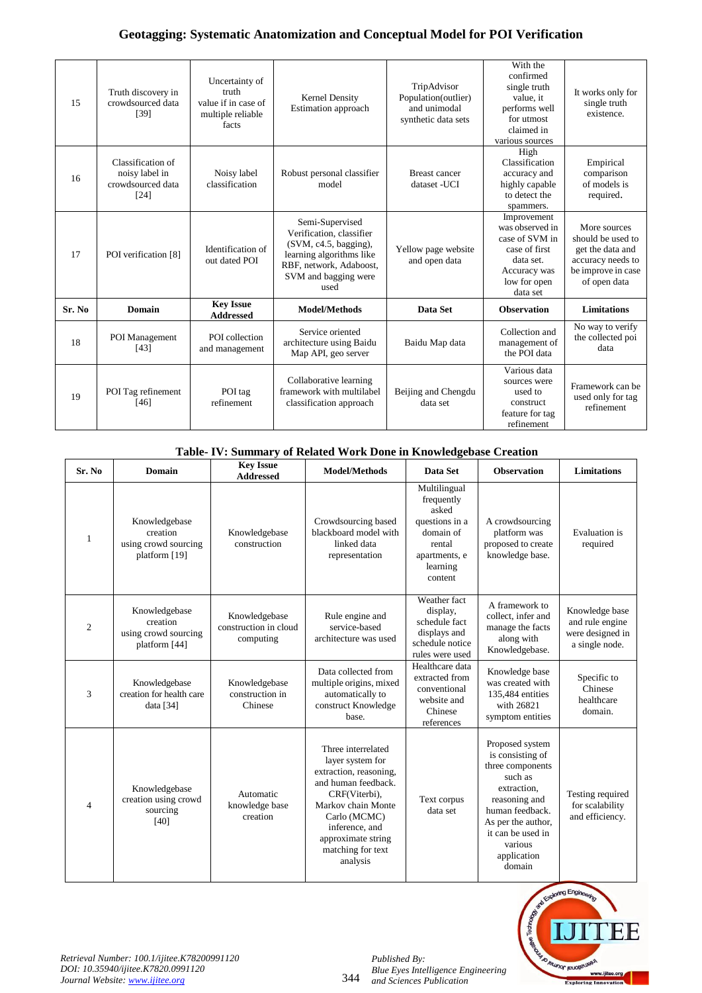| 15     | Truth discovery in<br>crowdsourced data<br>$[39]$                | Uncertainty of<br>truth<br>value if in case of<br>multiple reliable<br>facts | <b>Kernel Density</b><br><b>Estimation</b> approach                                                                                                            | TripAdvisor<br>Population(outlier)<br>and unimodal<br>synthetic data sets | With the<br>confirmed<br>single truth<br>value, it<br>performs well<br>for utmost<br>claimed in<br>various sources         | It works only for<br>single truth<br>existence.                                                                  |
|--------|------------------------------------------------------------------|------------------------------------------------------------------------------|----------------------------------------------------------------------------------------------------------------------------------------------------------------|---------------------------------------------------------------------------|----------------------------------------------------------------------------------------------------------------------------|------------------------------------------------------------------------------------------------------------------|
| 16     | Classification of<br>noisy label in<br>crowdsourced data<br>[24] | Noisy label<br>classification                                                | Robust personal classifier<br>model                                                                                                                            | <b>Breast cancer</b><br>dataset -UCI                                      | High<br>Classification<br>accuracy and<br>highly capable<br>to detect the<br>spammers.                                     | Empirical<br>comparison<br>of models is<br>required.                                                             |
| 17     | POI verification [8]                                             | Identification of<br>out dated POI                                           | Semi-Supervised<br>Verification, classifier<br>$(SVM, c4.5, bagging)$ ,<br>learning algorithms like<br>RBF, network, Adaboost,<br>SVM and bagging were<br>used | Yellow page website<br>and open data                                      | Improvement<br>was observed in<br>case of SVM in<br>case of first<br>data set.<br>Accuracy was<br>low for open<br>data set | More sources<br>should be used to<br>get the data and<br>accuracy needs to<br>be improve in case<br>of open data |
| Sr. No | Domain                                                           | <b>Key Issue</b><br><b>Addressed</b>                                         | <b>Model/Methods</b>                                                                                                                                           | Data Set                                                                  | <b>Observation</b>                                                                                                         | <b>Limitations</b>                                                                                               |
| 18     | POI Management<br>[43]                                           | POI collection<br>and management                                             | Service oriented<br>architecture using Baidu<br>Map API, geo server                                                                                            | Baidu Map data                                                            | Collection and<br>management of<br>the POI data                                                                            | No way to verify<br>the collected poi<br>data                                                                    |
| 19     | POI Tag refinement<br>[46]                                       | POI tag<br>refinement                                                        | Collaborative learning<br>framework with multilabel<br>classification approach                                                                                 | Beijing and Chengdu<br>data set                                           | Various data<br>sources were<br>used to<br>construct<br>feature for tag<br>refinement                                      | Framework can be<br>used only for tag<br>refinement                                                              |

| Table- IV: Summary of Related Work Done in Knowledgebase Creation |  |  |
|-------------------------------------------------------------------|--|--|
|                                                                   |  |  |

| Sr. No         | <b>Domain</b>                                                      | <b>Key Issue</b><br><b>Addressed</b>                | <b>Model/Methods</b>                                                                                                                                                                                                    | Data Set                                                                                                             | <b>Observation</b>                                                                                                                                                                                   | <b>Limitations</b>                                                      |
|----------------|--------------------------------------------------------------------|-----------------------------------------------------|-------------------------------------------------------------------------------------------------------------------------------------------------------------------------------------------------------------------------|----------------------------------------------------------------------------------------------------------------------|------------------------------------------------------------------------------------------------------------------------------------------------------------------------------------------------------|-------------------------------------------------------------------------|
| 1              | Knowledgebase<br>creation<br>using crowd sourcing<br>platform [19] | Knowledgebase<br>construction                       | Crowdsourcing based<br>blackboard model with<br>linked data<br>representation                                                                                                                                           | Multilingual<br>frequently<br>asked<br>questions in a<br>domain of<br>rental<br>apartments, e<br>learning<br>content | A crowdsourcing<br>platform was<br>proposed to create<br>knowledge base.                                                                                                                             | Evaluation is<br>required                                               |
| $\overline{2}$ | Knowledgebase<br>creation<br>using crowd sourcing<br>platform [44] | Knowledgebase<br>construction in cloud<br>computing | Rule engine and<br>service-based<br>architecture was used                                                                                                                                                               | Weather fact<br>display,<br>schedule fact<br>displays and<br>schedule notice<br>rules were used                      | A framework to<br>collect, infer and<br>manage the facts<br>along with<br>Knowledgebase.                                                                                                             | Knowledge base<br>and rule engine<br>were designed in<br>a single node. |
| 3              | Knowledgebase<br>creation for health care<br>data $[34]$           | Knowledgebase<br>construction in<br>Chinese         | Data collected from<br>multiple origins, mixed<br>automatically to<br>construct Knowledge<br>base.                                                                                                                      | Healthcare data<br>extracted from<br>conventional<br>website and<br>Chinese<br>references                            | Knowledge base<br>was created with<br>135,484 entities<br>with 26821<br>symptom entities                                                                                                             | Specific to<br>Chinese<br>healthcare<br>domain.                         |
| $\overline{4}$ | Knowledgebase<br>creation using crowd<br>sourcing<br>[40]          | Automatic<br>knowledge base<br>creation             | Three interrelated<br>layer system for<br>extraction, reasoning,<br>and human feedback.<br>CRF(Viterbi),<br>Markov chain Monte<br>Carlo (MCMC)<br>inference, and<br>approximate string<br>matching for text<br>analysis | Text corpus<br>data set                                                                                              | Proposed system<br>is consisting of<br>three components<br>such as<br>extraction,<br>reasoning and<br>human feedback.<br>As per the author,<br>it can be used in<br>various<br>application<br>domain | Testing required<br>for scalability<br>and efficiency.                  |



344 *Blue Eyes Intelligence Engineering Published By: and Sciences Publication*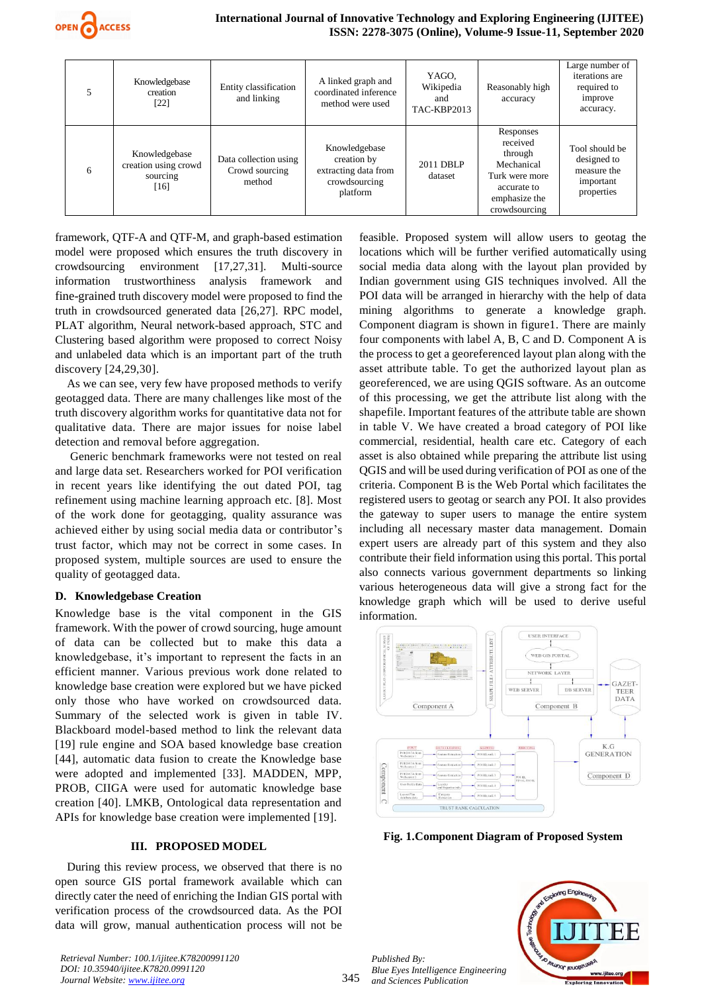

|   | Knowledgebase<br>creation<br>[22]                         | Entity classification<br>and linking              | A linked graph and<br>coordinated inference<br>method were used                   | YAGO.<br>Wikipedia<br>and<br>TAC-KBP2013 | Reasonably high<br>accuracy                                                                                       | Large number of<br>iterations are<br>required to<br>improve<br>accuracy. |
|---|-----------------------------------------------------------|---------------------------------------------------|-----------------------------------------------------------------------------------|------------------------------------------|-------------------------------------------------------------------------------------------------------------------|--------------------------------------------------------------------------|
| 6 | Knowledgebase<br>creation using crowd<br>sourcing<br>[16] | Data collection using<br>Crowd sourcing<br>method | Knowledgebase<br>creation by<br>extracting data from<br>crowdsourcing<br>platform | 2011 DBLP<br>dataset                     | Responses<br>received<br>through<br>Mechanical<br>Turk were more<br>accurate to<br>emphasize the<br>crowdsourcing | Tool should be<br>designed to<br>measure the<br>important<br>properties  |

framework, QTF-A and QTF-M, and graph-based estimation model were proposed which ensures the truth discovery in crowdsourcing environment [17,27,31]. Multi-source information trustworthiness analysis framework and fine-grained truth discovery model were proposed to find the truth in crowdsourced generated data [26,27]. RPC model, PLAT algorithm, Neural network-based approach, STC and Clustering based algorithm were proposed to correct Noisy and unlabeled data which is an important part of the truth discovery [24,29,30].

As we can see, very few have proposed methods to verify geotagged data. There are many challenges like most of the truth discovery algorithm works for quantitative data not for qualitative data. There are major issues for noise label detection and removal before aggregation.

Generic benchmark frameworks were not tested on real and large data set. Researchers worked for POI verification in recent years like identifying the out dated POI, tag refinement using machine learning approach etc. [8]. Most of the work done for geotagging, quality assurance was achieved either by using social media data or contributor's trust factor, which may not be correct in some cases. In proposed system, multiple sources are used to ensure the quality of geotagged data.

#### **D. Knowledgebase Creation**

Knowledge base is the vital component in the GIS framework. With the power of crowd sourcing, huge amount of data can be collected but to make this data a knowledgebase, it's important to represent the facts in an efficient manner. Various previous work done related to knowledge base creation were explored but we have picked only those who have worked on crowdsourced data. Summary of the selected work is given in table IV. Blackboard model-based method to link the relevant data [19] rule engine and SOA based knowledge base creation [44], automatic data fusion to create the Knowledge base were adopted and implemented [33]. MADDEN, MPP, PROB, CIIGA were used for automatic knowledge base creation [40]. LMKB, Ontological data representation and APIs for knowledge base creation were implemented [19].

#### **III. PROPOSED MODEL**

During this review process, we observed that there is no open source GIS portal framework available which can directly cater the need of enriching the Indian GIS portal with verification process of the crowdsourced data. As the POI data will grow, manual authentication process will not be

*Retrieval Number: 100.1/ijitee.K78200991120 DOI: 10.35940/ijitee.K7820.0991120 Journal Website: www.ijitee.org*

feasible. Proposed system will allow users to geotag the locations which will be further verified automatically using social media data along with the layout plan provided by Indian government using GIS techniques involved. All the POI data will be arranged in hierarchy with the help of data mining algorithms to generate a knowledge graph. Component diagram is shown in figure1. There are mainly four components with label A, B, C and D. Component A is the process to get a georeferenced layout plan along with the asset attribute table. To get the authorized layout plan as georeferenced, we are using QGIS software. As an outcome of this processing, we get the attribute list along with the shapefile. Important features of the attribute table are shown in table V. We have created a broad category of POI like commercial, residential, health care etc. Category of each asset is also obtained while preparing the attribute list using QGIS and will be used during verification of POI as one of the criteria. Component B is the Web Portal which facilitates the registered users to geotag or search any POI. It also provides the gateway to super users to manage the entire system including all necessary master data management. Domain expert users are already part of this system and they also contribute their field information using this portal. This portal also connects various government departments so linking various heterogeneous data will give a strong fact for the knowledge graph which will be used to derive useful information.



**Fig. 1.Component Diagram of Proposed System**

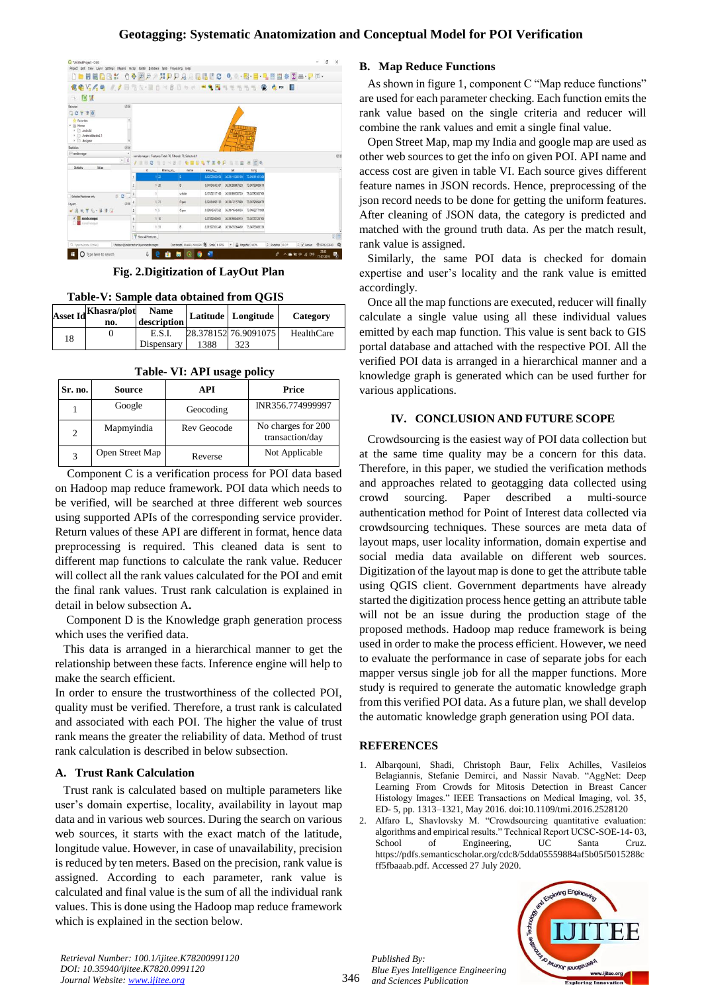

**Fig. 2.Digitization of LayOut Plan**

| Table-V: Sample data obtained from QGIS |  |  |  |
|-----------------------------------------|--|--|--|
|                                         |  |  |  |

|    | <b>\sset Id</b> Khasra/plot<br>no. | Name<br>description  |      | Latitude   Longitude | Category   |
|----|------------------------------------|----------------------|------|----------------------|------------|
| 18 |                                    | E.S.I.<br>Dispensary | 1388 | 28.378152 76.9091075 | HealthCare |

| Sr. no.        | Source          | API         | Price                                 |
|----------------|-----------------|-------------|---------------------------------------|
|                | Google          | Geocoding   | INR356.774999997                      |
| $\overline{c}$ | Mapmyindia      | Rev Geocode | No charges for 200<br>transaction/day |
| 3              | Open Street Map | Reverse     | Not Applicable                        |

**Table- VI: API usage policy**

Component C is a verification process for POI data based on Hadoop map reduce framework. POI data which needs to be verified, will be searched at three different web sources using supported APIs of the corresponding service provider. Return values of these API are different in format, hence data preprocessing is required. This cleaned data is sent to different map functions to calculate the rank value. Reducer will collect all the rank values calculated for the POI and emit the final rank values. Trust rank calculation is explained in detail in below subsection A**.**

Component D is the Knowledge graph generation process which uses the verified data.

This data is arranged in a hierarchical manner to get the relationship between these facts. Inference engine will help to make the search efficient.

In order to ensure the trustworthiness of the collected POI, quality must be verified. Therefore, a trust rank is calculated and associated with each POI. The higher the value of trust rank means the greater the reliability of data. Method of trust rank calculation is described in below subsection.

## **A. Trust Rank Calculation**

Trust rank is calculated based on multiple parameters like user's domain expertise, locality, availability in layout map data and in various web sources. During the search on various web sources, it starts with the exact match of the latitude, longitude value. However, in case of unavailability, precision is reduced by ten meters. Based on the precision, rank value is assigned. According to each parameter, rank value is calculated and final value is the sum of all the individual rank values. This is done using the Hadoop map reduce framework which is explained in the section below.

#### **B. Map Reduce Functions**

As shown in figure 1, component C "Map reduce functions" are used for each parameter checking. Each function emits the rank value based on the single criteria and reducer will combine the rank values and emit a single final value.

Open Street Map, map my India and google map are used as other web sources to get the info on given POI. API name and access cost are given in table VI. Each source gives different feature names in JSON records. Hence, preprocessing of the json record needs to be done for getting the uniform features. After cleaning of JSON data, the category is predicted and matched with the ground truth data. As per the match result, rank value is assigned.

Similarly, the same POI data is checked for domain expertise and user's locality and the rank value is emitted accordingly.

Once all the map functions are executed, reducer will finally calculate a single value using all these individual values emitted by each map function. This value is sent back to GIS portal database and attached with the respective POI. All the verified POI data is arranged in a hierarchical manner and a knowledge graph is generated which can be used further for various applications.

#### **IV. CONCLUSION AND FUTURE SCOPE**

Crowdsourcing is the easiest way of POI data collection but at the same time quality may be a concern for this data. Therefore, in this paper, we studied the verification methods and approaches related to geotagging data collected using crowd sourcing. Paper described a multi-source authentication method for Point of Interest data collected via crowdsourcing techniques. These sources are meta data of layout maps, user locality information, domain expertise and social media data available on different web sources. Digitization of the layout map is done to get the attribute table using QGIS client. Government departments have already started the digitization process hence getting an attribute table will not be an issue during the production stage of the proposed methods. Hadoop map reduce framework is being used in order to make the process efficient. However, we need to evaluate the performance in case of separate jobs for each mapper versus single job for all the mapper functions. More study is required to generate the automatic knowledge graph from this verified POI data. As a future plan, we shall develop the automatic knowledge graph generation using POI data.

#### **REFERENCES**

- 1. Albarqouni, Shadi, Christoph Baur, Felix Achilles, Vasileios Belagiannis, Stefanie Demirci, and Nassir Navab. "AggNet: Deep Learning From Crowds for Mitosis Detection in Breast Cancer Histology Images." IEEE Transactions on Medical Imaging, vol. 35, ED- 5, pp. 1313–1321, May 2016. doi:10.1109/tmi.2016.2528120
- 2. Alfaro L, Shavlovsky M. "Crowdsourcing quantitative evaluation: algorithms and empirical results." Technical Report UCSC-SOE-14- 03, School of Engineering, UC Santa Cruz. <https://pdfs.semanticscholar.org/cdc8/5dda05559884af5b05f5015288c> ff5fbaaab.pdf. Accessed 27 July 2020.

*Published By: Blue Eyes Intelligence Engineering and Sciences Publication* 



*Retrieval Number: 100.1/ijitee.K78200991120 DOI: 10.35940/ijitee.K7820.0991120 Journal Website: www.ijitee.org*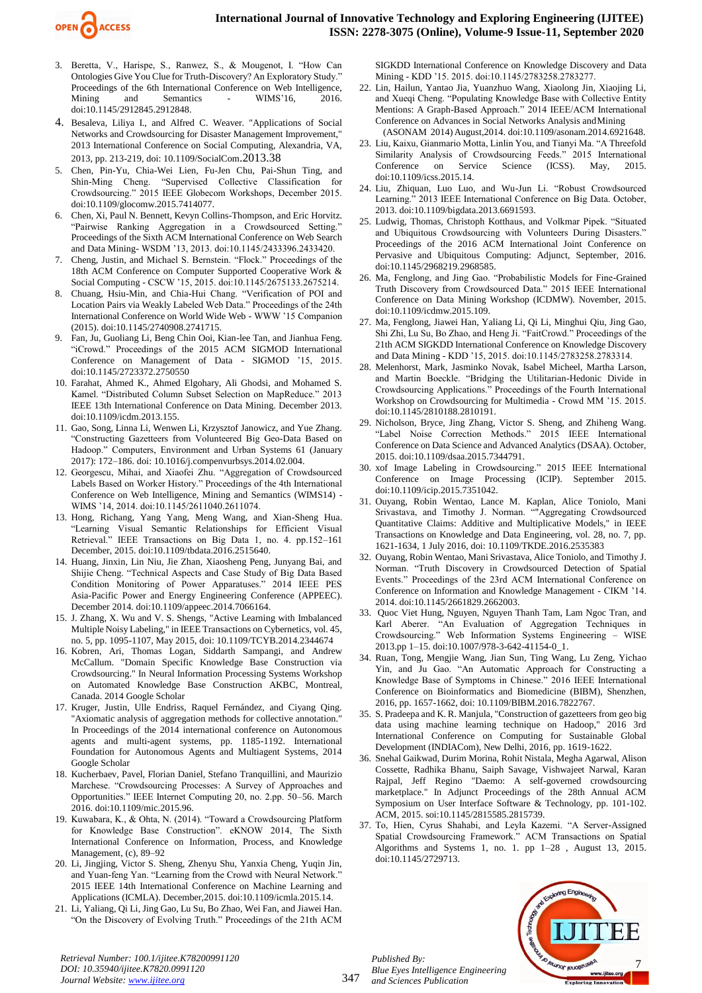

- 3. Beretta, V., Harispe, S., Ranwez, S., & Mougenot, I. "How Can Ontologies Give You Clue for Truth-Discovery? An Exploratory Study." Proceedings of the 6th International Conference on Web Intelligence, Mining and Semantics - WIMS'16, 2016. doi:10.1145/2912845.2912848.
- 4. Besaleva, Liliya I., and Alfred C. Weaver. "Applications of Social Networks and Crowdsourcing for Disaster Management Improvement," 2013 International Conference on Social Computing, Alexandria, VA, 2013, pp. 213-219, doi: 10.1109/SocialCom.2013.38
- 5. Chen, Pin-Yu, Chia-Wei Lien, Fu-Jen Chu, Pai-Shun Ting, and Shin-Ming Cheng. "Supervised Collective Classification for Crowdsourcing." 2015 IEEE Globecom Workshops, December 2015. doi:10.1109/glocomw.2015.7414077.
- 6. Chen, Xi, Paul N. Bennett, Kevyn Collins-Thompson, and Eric Horvitz. "Pairwise Ranking Aggregation in a Crowdsourced Setting." Proceedings of the Sixth ACM International Conference on Web Search and Data Mining- WSDM '13, 2013. doi:10.1145/2433396.2433420.
- 7. Cheng, Justin, and Michael S. Bernstein. "Flock." Proceedings of the 18th ACM Conference on Computer Supported Cooperative Work & Social Computing - CSCW '15, 2015. doi:10.1145/2675133.2675214.
- 8. Chuang, Hsiu-Min, and Chia-Hui Chang. "Verification of POI and Location Pairs via Weakly Labeled Web Data." Proceedings of the 24th International Conference on World Wide Web - WWW '15 Companion (2015). doi:10.1145/2740908.2741715.
- 9. Fan, Ju, Guoliang Li, Beng Chin Ooi, Kian-lee Tan, and Jianhua Feng. "iCrowd." Proceedings of the 2015 ACM SIGMOD International Conference on Management of Data - SIGMOD '15, 2015. doi:10.1145/2723372.2750550
- 10. Farahat, Ahmed K., Ahmed Elgohary, Ali Ghodsi, and Mohamed S. Kamel. "Distributed Column Subset Selection on MapReduce." 2013 IEEE 13th International Conference on Data Mining. December 2013. doi:10.1109/icdm.2013.155.
- 11. Gao, Song, Linna Li, Wenwen Li, Krzysztof Janowicz, and Yue Zhang. "Constructing Gazetteers from Volunteered Big Geo-Data Based on Hadoop." Computers, Environment and Urban Systems 61 (January 2017): 172–186. doi: 10.1016/j.compenvurbsys.2014.02.004.
- 12. Georgescu, Mihai, and Xiaofei Zhu. "Aggregation of Crowdsourced Labels Based on Worker History." Proceedings of the 4th International Conference on Web Intelligence, Mining and Semantics (WIMS14) - WIMS '14, 2014. doi:10.1145/2611040.2611074.
- 13. Hong, Richang, Yang Yang, Meng Wang, and Xian-Sheng Hua. "Learning Visual Semantic Relationships for Efficient Visual Retrieval." IEEE Transactions on Big Data 1, no. 4. pp.152–161 December, 2015. doi:10.1109/tbdata.2016.2515640.
- 14. Huang, Jinxin, Lin Niu, Jie Zhan, Xiaosheng Peng, Junyang Bai, and Shijie Cheng. "Technical Aspects and Case Study of Big Data Based Condition Monitoring of Power Apparatuses." 2014 IEEE PES Asia-Pacific Power and Energy Engineering Conference (APPEEC). December 2014. doi:10.1109/appeec.2014.7066164.
- 15. J. Zhang, X. Wu and V. S. Shengs, "Active Learning with Imbalanced Multiple Noisy Labeling," in IEEE Transactions on Cybernetics, vol. 45, no. 5, pp. 1095-1107, May 2015, doi: 10.1109/TCYB.2014.2344674
- 16. Kobren, Ari, Thomas Logan, Siddarth Sampangi, and Andrew McCallum. "Domain Specific Knowledge Base Construction via Crowdsourcing." In Neural Information Processing Systems Workshop on Automated Knowledge Base Construction AKBC, Montreal, Canada. 2014 Google Scholar
- 17. Kruger, Justin, Ulle Endriss, Raquel Fernández, and Ciyang Qing. "Axiomatic analysis of aggregation methods for collective annotation." In Proceedings of the 2014 international conference on Autonomous agents and multi-agent systems, pp. 1185-1192. International Foundation for Autonomous Agents and Multiagent Systems, 2014 Google Scholar
- 18. Kucherbaev, Pavel, Florian Daniel, Stefano Tranquillini, and Maurizio Marchese. "Crowdsourcing Processes: A Survey of Approaches and Opportunities." IEEE Internet Computing 20, no. 2.pp. 50–56. March 2016. doi:10.1109/mic.2015.96.
- 19. Kuwabara, K., & Ohta, N. (2014). "Toward a Crowdsourcing Platform for Knowledge Base Construction". eKNOW 2014, The Sixth International Conference on Information, Process, and Knowledge Management, (c), 89–92
- 20. Li, Jingjing, Victor S. Sheng, Zhenyu Shu, Yanxia Cheng, Yuqin Jin, and Yuan-feng Yan. "Learning from the Crowd with Neural Network." 2015 IEEE 14th International Conference on Machine Learning and Applications (ICMLA). December,2015. doi:10.1109/icmla.2015.14.
- 21. Li, Yaliang, Qi Li, Jing Gao, Lu Su, Bo Zhao, Wei Fan, and Jiawei Han. "On the Discovery of Evolving Truth." Proceedings of the 21th ACM

SIGKDD International Conference on Knowledge Discovery and Data Mining - KDD '15. 2015. doi:10.1145/2783258.2783277.

- 22. Lin, Hailun, Yantao Jia, Yuanzhuo Wang, Xiaolong Jin, Xiaojing Li, and Xueqi Cheng. "Populating Knowledge Base with Collective Entity Mentions: A Graph-Based Approach." 2014 IEEE/ACM International Conference on Advances in Social Networks Analysis andMining (ASONAM 2014) August,2014. doi:10.1109/asonam.2014.6921648.
- 23. Liu, Kaixu, Gianmario Motta, Linlin You, and Tianyi Ma. "A Threefold Similarity Analysis of Crowdsourcing Feeds." 2015 International Conference on Service Science (ICSS). May, 2015. doi:10.1109/icss.2015.14.
- 24. Liu, Zhiquan, Luo Luo, and Wu-Jun Li. "Robust Crowdsourced Learning." 2013 IEEE International Conference on Big Data. October, 2013. doi:10.1109/bigdata.2013.6691593.
- 25. Ludwig, Thomas, Christoph Kotthaus, and Volkmar Pipek. "Situated and Ubiquitous Crowdsourcing with Volunteers During Disasters." Proceedings of the 2016 ACM International Joint Conference on Pervasive and Ubiquitous Computing: Adjunct, September, 2016. doi:10.1145/2968219.2968585.
- 26. Ma, Fenglong, and Jing Gao. "Probabilistic Models for Fine-Grained Truth Discovery from Crowdsourced Data." 2015 IEEE International Conference on Data Mining Workshop (ICDMW). November, 2015. doi:10.1109/icdmw.2015.109.
- 27. Ma, Fenglong, Jiawei Han, Yaliang Li, Qi Li, Minghui Qiu, Jing Gao, Shi Zhi, Lu Su, Bo Zhao, and Heng Ji. "FaitCrowd." Proceedings of the 21th ACM SIGKDD International Conference on Knowledge Discovery and Data Mining - KDD '15, 2015. doi:10.1145/2783258.2783314.
- 28. Melenhorst, Mark, Jasminko Novak, Isabel Micheel, Martha Larson, and Martin Boeckle. "Bridging the Utilitarian-Hedonic Divide in Crowdsourcing Applications." Proceedings of the Fourth International Workshop on Crowdsourcing for Multimedia - Crowd MM '15. 2015. doi:10.1145/2810188.2810191.
- 29. Nicholson, Bryce, Jing Zhang, Victor S. Sheng, and Zhiheng Wang. "Label Noise Correction Methods." 2015 IEEE International Conference on Data Science and Advanced Analytics (DSAA). October, 2015. doi:10.1109/dsaa.2015.7344791.
- 30. xof Image Labeling in Crowdsourcing." 2015 IEEE International Conference on Image Processing (ICIP). September 2015. doi:10.1109/icip.2015.7351042.
- 31. Ouyang, Robin Wentao, Lance M. Kaplan, Alice Toniolo, Mani Srivastava, and Timothy J. Norman. ""Aggregating Crowdsourced Quantitative Claims: Additive and Multiplicative Models," in IEEE Transactions on Knowledge and Data Engineering, vol. 28, no. 7, pp. 1621-1634, 1 July 2016, doi: 10.1109/TKDE.2016.2535383
- 32. Ouyang, Robin Wentao, Mani Srivastava, Alice Toniolo, and Timothy J. Norman. "Truth Discovery in Crowdsourced Detection of Spatial Events." Proceedings of the 23rd ACM International Conference on Conference on Information and Knowledge Management - CIKM '14. 2014. doi:10.1145/2661829.2662003.
- 33. Quoc Viet Hung, Nguyen, Nguyen Thanh Tam, Lam Ngoc Tran, and Karl Aberer. "An Evaluation of Aggregation Techniques in Crowdsourcing." Web Information Systems Engineering – WISE 2013.pp 1–15. doi:10.1007/978-3-642-41154-0\_1.
- 34. Ruan, Tong, Mengjie Wang, Jian Sun, Ting Wang, Lu Zeng, Yichao Yin, and Ju Gao. "An Automatic Approach for Constructing a Knowledge Base of Symptoms in Chinese." 2016 IEEE International Conference on Bioinformatics and Biomedicine (BIBM), Shenzhen, 2016, pp. 1657-1662, doi: 10.1109/BIBM.2016.7822767.
- 35. S. Pradeepa and K. R. Manjula, "Construction of gazetteers from geo big data using machine learning technique on Hadoop," 2016 3rd International Conference on Computing for Sustainable Global Development (INDIACom), New Delhi, 2016, pp. 1619-1622.
- 36. Snehal Gaikwad, Durim Morina, Rohit Nistala, Megha Agarwal, Alison Cossette, Radhika Bhanu, Saiph Savage, Vishwajeet Narwal, Karan Rajpal, Jeff Regino "Daemo: A self-governed crowdsourcing marketplace." In Adjunct Proceedings of the 28th Annual ACM Symposium on User Interface Software & Technology, pp. 101-102. ACM, 2015. soi:10.1145/2815585.2815739.
- 37. To, Hien, Cyrus Shahabi, and Leyla Kazemi. "A Server-Assigned Spatial Crowdsourcing Framework." ACM Transactions on Spatial Algorithms and Systems 1, no. 1. pp 1–28 , August 13, 2015. doi:10.1145/2729713.





*Retrieval Number: 100.1/ijitee.K78200991120 DOI: 10.35940/ijitee.K7820.0991120 Journal Website: www.ijitee.org*